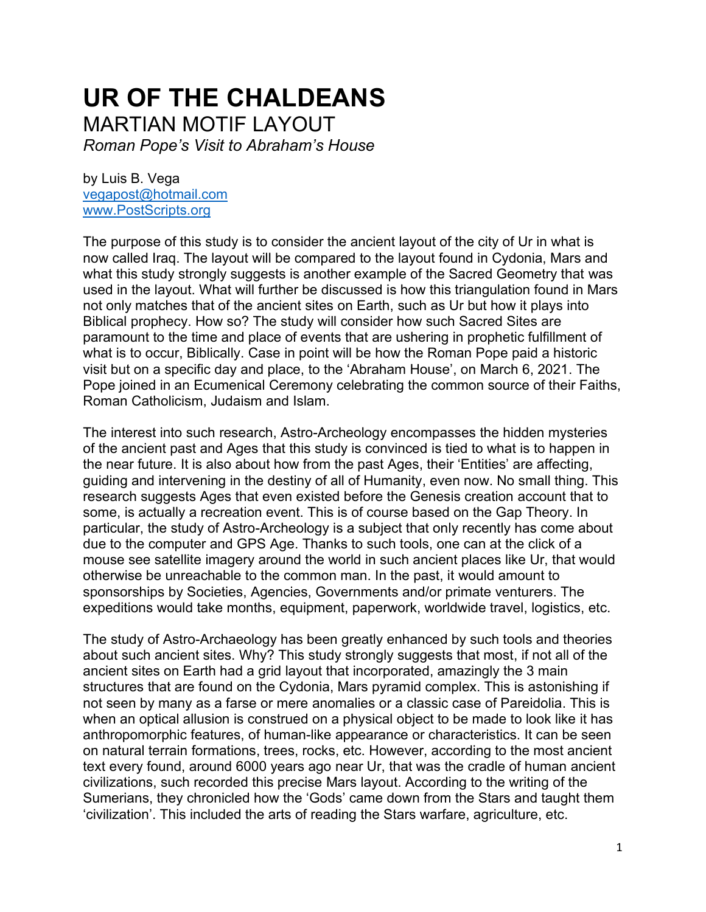## **UR OF THE CHALDEANS** MARTIAN MOTIF LAYOUT

*Roman Pope's Visit to Abraham's House*

by Luis B. Vega [vegapost@hotmail.com](mailto:vegapost@hotmail.com) [www.PostScripts.org](http://www.postscripts.org/)

The purpose of this study is to consider the ancient layout of the city of Ur in what is now called Iraq. The layout will be compared to the layout found in Cydonia, Mars and what this study strongly suggests is another example of the Sacred Geometry that was used in the layout. What will further be discussed is how this triangulation found in Mars not only matches that of the ancient sites on Earth, such as Ur but how it plays into Biblical prophecy. How so? The study will consider how such Sacred Sites are paramount to the time and place of events that are ushering in prophetic fulfillment of what is to occur, Biblically. Case in point will be how the Roman Pope paid a historic visit but on a specific day and place, to the 'Abraham House', on March 6, 2021. The Pope joined in an Ecumenical Ceremony celebrating the common source of their Faiths, Roman Catholicism, Judaism and Islam.

The interest into such research, Astro-Archeology encompasses the hidden mysteries of the ancient past and Ages that this study is convinced is tied to what is to happen in the near future. It is also about how from the past Ages, their 'Entities' are affecting, guiding and intervening in the destiny of all of Humanity, even now. No small thing. This research suggests Ages that even existed before the Genesis creation account that to some, is actually a recreation event. This is of course based on the Gap Theory. In particular, the study of Astro-Archeology is a subject that only recently has come about due to the computer and GPS Age. Thanks to such tools, one can at the click of a mouse see satellite imagery around the world in such ancient places like Ur, that would otherwise be unreachable to the common man. In the past, it would amount to sponsorships by Societies, Agencies, Governments and/or primate venturers. The expeditions would take months, equipment, paperwork, worldwide travel, logistics, etc.

The study of Astro-Archaeology has been greatly enhanced by such tools and theories about such ancient sites. Why? This study strongly suggests that most, if not all of the ancient sites on Earth had a grid layout that incorporated, amazingly the 3 main structures that are found on the Cydonia, Mars pyramid complex. This is astonishing if not seen by many as a farse or mere anomalies or a classic case of Pareidolia. This is when an optical allusion is construed on a physical object to be made to look like it has anthropomorphic features, of human-like appearance or characteristics. It can be seen on natural terrain formations, trees, rocks, etc. However, according to the most ancient text every found, around 6000 years ago near Ur, that was the cradle of human ancient civilizations, such recorded this precise Mars layout. According to the writing of the Sumerians, they chronicled how the 'Gods' came down from the Stars and taught them 'civilization'. This included the arts of reading the Stars warfare, agriculture, etc.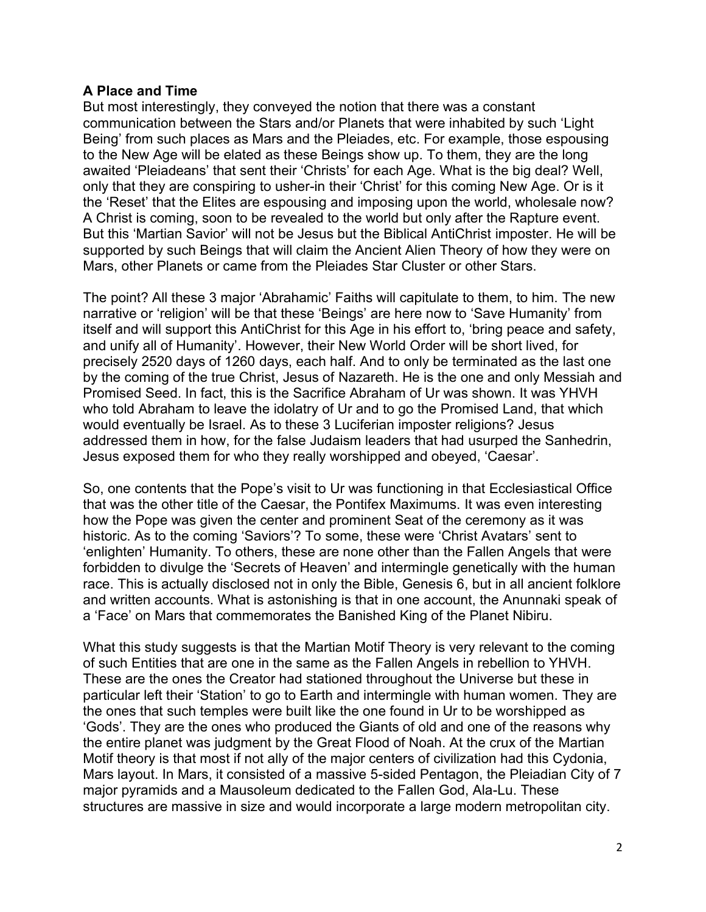## **A Place and Time**

But most interestingly, they conveyed the notion that there was a constant communication between the Stars and/or Planets that were inhabited by such 'Light Being' from such places as Mars and the Pleiades, etc. For example, those espousing to the New Age will be elated as these Beings show up. To them, they are the long awaited 'Pleiadeans' that sent their 'Christs' for each Age. What is the big deal? Well, only that they are conspiring to usher-in their 'Christ' for this coming New Age. Or is it the 'Reset' that the Elites are espousing and imposing upon the world, wholesale now? A Christ is coming, soon to be revealed to the world but only after the Rapture event. But this 'Martian Savior' will not be Jesus but the Biblical AntiChrist imposter. He will be supported by such Beings that will claim the Ancient Alien Theory of how they were on Mars, other Planets or came from the Pleiades Star Cluster or other Stars.

The point? All these 3 major 'Abrahamic' Faiths will capitulate to them, to him. The new narrative or 'religion' will be that these 'Beings' are here now to 'Save Humanity' from itself and will support this AntiChrist for this Age in his effort to, 'bring peace and safety, and unify all of Humanity'. However, their New World Order will be short lived, for precisely 2520 days of 1260 days, each half. And to only be terminated as the last one by the coming of the true Christ, Jesus of Nazareth. He is the one and only Messiah and Promised Seed. In fact, this is the Sacrifice Abraham of Ur was shown. It was YHVH who told Abraham to leave the idolatry of Ur and to go the Promised Land, that which would eventually be Israel. As to these 3 Luciferian imposter religions? Jesus addressed them in how, for the false Judaism leaders that had usurped the Sanhedrin, Jesus exposed them for who they really worshipped and obeyed, 'Caesar'.

So, one contents that the Pope's visit to Ur was functioning in that Ecclesiastical Office that was the other title of the Caesar, the Pontifex Maximums. It was even interesting how the Pope was given the center and prominent Seat of the ceremony as it was historic. As to the coming 'Saviors'? To some, these were 'Christ Avatars' sent to 'enlighten' Humanity. To others, these are none other than the Fallen Angels that were forbidden to divulge the 'Secrets of Heaven' and intermingle genetically with the human race. This is actually disclosed not in only the Bible, Genesis 6, but in all ancient folklore and written accounts. What is astonishing is that in one account, the Anunnaki speak of a 'Face' on Mars that commemorates the Banished King of the Planet Nibiru.

What this study suggests is that the Martian Motif Theory is very relevant to the coming of such Entities that are one in the same as the Fallen Angels in rebellion to YHVH. These are the ones the Creator had stationed throughout the Universe but these in particular left their 'Station' to go to Earth and intermingle with human women. They are the ones that such temples were built like the one found in Ur to be worshipped as 'Gods'. They are the ones who produced the Giants of old and one of the reasons why the entire planet was judgment by the Great Flood of Noah. At the crux of the Martian Motif theory is that most if not ally of the major centers of civilization had this Cydonia, Mars layout. In Mars, it consisted of a massive 5-sided Pentagon, the Pleiadian City of 7 major pyramids and a Mausoleum dedicated to the Fallen God, Ala-Lu. These structures are massive in size and would incorporate a large modern metropolitan city.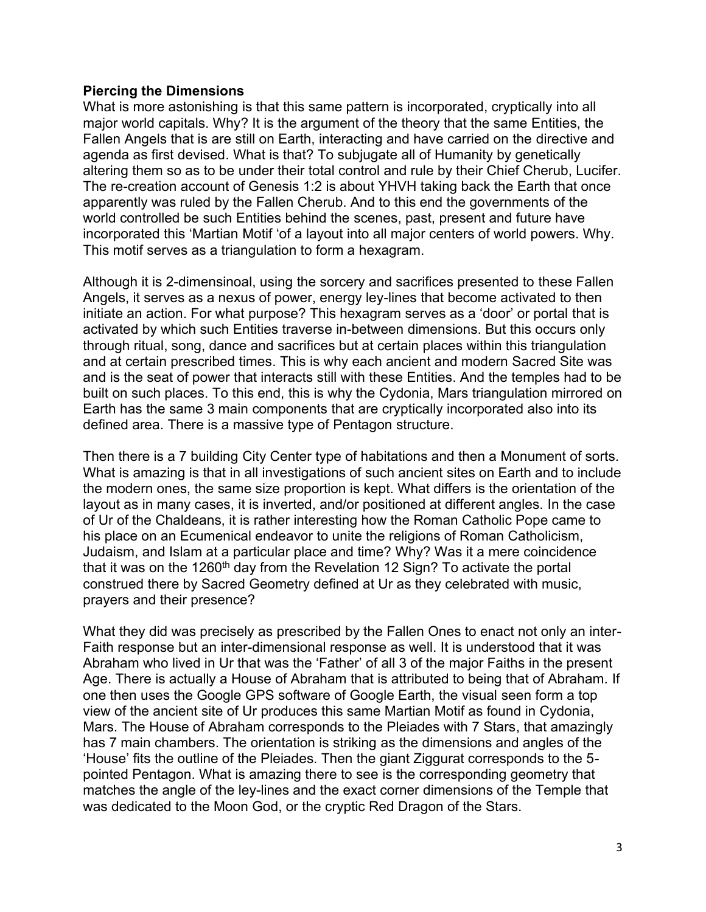## **Piercing the Dimensions**

What is more astonishing is that this same pattern is incorporated, cryptically into all major world capitals. Why? It is the argument of the theory that the same Entities, the Fallen Angels that is are still on Earth, interacting and have carried on the directive and agenda as first devised. What is that? To subjugate all of Humanity by genetically altering them so as to be under their total control and rule by their Chief Cherub, Lucifer. The re-creation account of Genesis 1:2 is about YHVH taking back the Earth that once apparently was ruled by the Fallen Cherub. And to this end the governments of the world controlled be such Entities behind the scenes, past, present and future have incorporated this 'Martian Motif 'of a layout into all major centers of world powers. Why. This motif serves as a triangulation to form a hexagram.

Although it is 2-dimensinoal, using the sorcery and sacrifices presented to these Fallen Angels, it serves as a nexus of power, energy ley-lines that become activated to then initiate an action. For what purpose? This hexagram serves as a 'door' or portal that is activated by which such Entities traverse in-between dimensions. But this occurs only through ritual, song, dance and sacrifices but at certain places within this triangulation and at certain prescribed times. This is why each ancient and modern Sacred Site was and is the seat of power that interacts still with these Entities. And the temples had to be built on such places. To this end, this is why the Cydonia, Mars triangulation mirrored on Earth has the same 3 main components that are cryptically incorporated also into its defined area. There is a massive type of Pentagon structure.

Then there is a 7 building City Center type of habitations and then a Monument of sorts. What is amazing is that in all investigations of such ancient sites on Earth and to include the modern ones, the same size proportion is kept. What differs is the orientation of the layout as in many cases, it is inverted, and/or positioned at different angles. In the case of Ur of the Chaldeans, it is rather interesting how the Roman Catholic Pope came to his place on an Ecumenical endeavor to unite the religions of Roman Catholicism, Judaism, and Islam at a particular place and time? Why? Was it a mere coincidence that it was on the 1260<sup>th</sup> day from the Revelation 12 Sign? To activate the portal construed there by Sacred Geometry defined at Ur as they celebrated with music, prayers and their presence?

What they did was precisely as prescribed by the Fallen Ones to enact not only an inter-Faith response but an inter-dimensional response as well. It is understood that it was Abraham who lived in Ur that was the 'Father' of all 3 of the major Faiths in the present Age. There is actually a House of Abraham that is attributed to being that of Abraham. If one then uses the Google GPS software of Google Earth, the visual seen form a top view of the ancient site of Ur produces this same Martian Motif as found in Cydonia, Mars. The House of Abraham corresponds to the Pleiades with 7 Stars, that amazingly has 7 main chambers. The orientation is striking as the dimensions and angles of the 'House' fits the outline of the Pleiades. Then the giant Ziggurat corresponds to the 5 pointed Pentagon. What is amazing there to see is the corresponding geometry that matches the angle of the ley-lines and the exact corner dimensions of the Temple that was dedicated to the Moon God, or the cryptic Red Dragon of the Stars.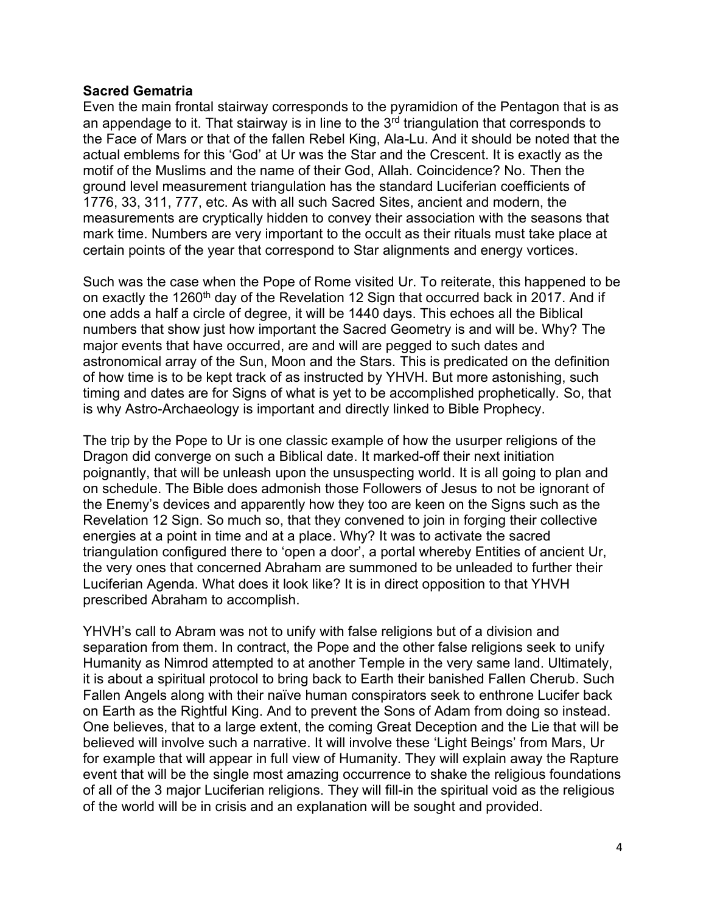## **Sacred Gematria**

Even the main frontal stairway corresponds to the pyramidion of the Pentagon that is as an appendage to it. That stairway is in line to the  $3<sup>rd</sup>$  triangulation that corresponds to the Face of Mars or that of the fallen Rebel King, Ala-Lu. And it should be noted that the actual emblems for this 'God' at Ur was the Star and the Crescent. It is exactly as the motif of the Muslims and the name of their God, Allah. Coincidence? No. Then the ground level measurement triangulation has the standard Luciferian coefficients of 1776, 33, 311, 777, etc. As with all such Sacred Sites, ancient and modern, the measurements are cryptically hidden to convey their association with the seasons that mark time. Numbers are very important to the occult as their rituals must take place at certain points of the year that correspond to Star alignments and energy vortices.

Such was the case when the Pope of Rome visited Ur. To reiterate, this happened to be on exactly the 1260<sup>th</sup> day of the Revelation 12 Sign that occurred back in 2017. And if one adds a half a circle of degree, it will be 1440 days. This echoes all the Biblical numbers that show just how important the Sacred Geometry is and will be. Why? The major events that have occurred, are and will are pegged to such dates and astronomical array of the Sun, Moon and the Stars. This is predicated on the definition of how time is to be kept track of as instructed by YHVH. But more astonishing, such timing and dates are for Signs of what is yet to be accomplished prophetically. So, that is why Astro-Archaeology is important and directly linked to Bible Prophecy.

The trip by the Pope to Ur is one classic example of how the usurper religions of the Dragon did converge on such a Biblical date. It marked-off their next initiation poignantly, that will be unleash upon the unsuspecting world. It is all going to plan and on schedule. The Bible does admonish those Followers of Jesus to not be ignorant of the Enemy's devices and apparently how they too are keen on the Signs such as the Revelation 12 Sign. So much so, that they convened to join in forging their collective energies at a point in time and at a place. Why? It was to activate the sacred triangulation configured there to 'open a door', a portal whereby Entities of ancient Ur, the very ones that concerned Abraham are summoned to be unleaded to further their Luciferian Agenda. What does it look like? It is in direct opposition to that YHVH prescribed Abraham to accomplish.

YHVH's call to Abram was not to unify with false religions but of a division and separation from them. In contract, the Pope and the other false religions seek to unify Humanity as Nimrod attempted to at another Temple in the very same land. Ultimately, it is about a spiritual protocol to bring back to Earth their banished Fallen Cherub. Such Fallen Angels along with their naïve human conspirators seek to enthrone Lucifer back on Earth as the Rightful King. And to prevent the Sons of Adam from doing so instead. One believes, that to a large extent, the coming Great Deception and the Lie that will be believed will involve such a narrative. It will involve these 'Light Beings' from Mars, Ur for example that will appear in full view of Humanity. They will explain away the Rapture event that will be the single most amazing occurrence to shake the religious foundations of all of the 3 major Luciferian religions. They will fill-in the spiritual void as the religious of the world will be in crisis and an explanation will be sought and provided.